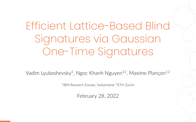Efficient Lattice-Based Blind Signatures via Gaussian One-Time Signatures

Vadim Lyubashevsky<sup>1</sup>, Ngoc Khanh Nguyen<sup>12</sup>, Maxime Plançon<sup>12</sup>

1 IBM Research Europe, Switzerland, <sup>2</sup>ETH Zurich

February 28, 2022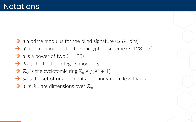- ² *q* a prime modulus for the blind signature (*≃* 64 bits)
- ² *q ′* a prime modulus for the encryption scheme (*≃* 128 bits)
- $\rightarrow$  d is a power of two (= 128)
- $\rightarrow \mathbb{Z}_q$  is the field of integers modulo *q*
- $\rightarrow \mathcal{R}_q$  is the cyclotomic ring  $\mathbb{Z}_q[X]/(X^d+1)$
- $\rightarrow$  *S*<sub>*γ*</sub> is the set of ring elements of infinity norm less than *γ*
- $\rightarrow$  *n*, *m*, *k*, *l* are dimensions over  $\mathcal{R}_a$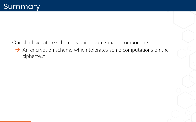$\rightarrow$  An encryption scheme which tolerates some computations on the ciphertext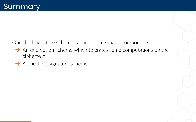- $\rightarrow$  An encryption scheme which tolerates some computations on the ciphertext
- $\rightarrow$  A one-time signature scheme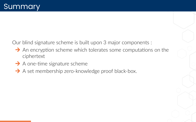- $\rightarrow$  An encryption scheme which tolerates some computations on the ciphertext
- $\rightarrow$  A one-time signature scheme
- $\rightarrow$  A set membership zero-knowledge proof black-box.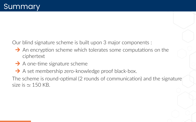- $\rightarrow$  An encryption scheme which tolerates some computations on the ciphertext
- $\rightarrow$  A one-time signature scheme
- $\rightarrow$  A set membership zero-knowledge proof black-box.

The scheme is round-optimal (2 rounds of communication) and the signature size is *≃* 150 KB.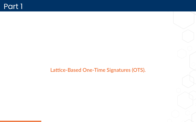**Lattice‐Based One‐Time Signatures (OTS).**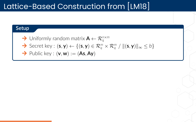## Lattice-Based Construction from [\[LM18\]](#page-46-0)

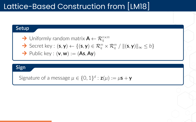# Lattice-Based Construction from [\[LM18\]](#page-46-0)



Signature of a message  $\mu \in \{0, 1\}^d$  :  $\mathsf{z}(\mu) := \mu \mathsf{s} + \mathsf{y}$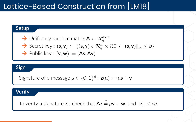# Lattice-Based Construction from [\[LM18\]](#page-46-0)

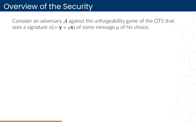Consider an adversary *A* against the unforgeability game of the OTS that sees a signature  $σ(= γ + μs)$  of some message  $μ$  of his choice.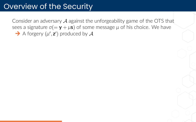Consider an adversary *A* against the unforgeability game of the OTS that sees a signature  $\sigma(=\mathbf{y} + \mu \mathbf{s})$  of some message  $\mu$  of his choice. We have  $\rightarrow$  A forgery  $(\mu', \mathbf{z}')$  produced by  $\mathcal{A}$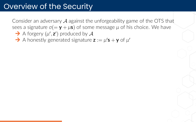Consider an adversary *A* against the unforgeability game of the OTS that sees a signature  $\sigma(=\mathbf{y} + \mu \mathbf{s})$  of some message  $\mu$  of his choice. We have

- $\rightarrow$  A forgery  $(\mu', \mathbf{z}')$  produced by  $\mathcal{A}$
- $\rightarrow$  A honestly generated signature  $z := \mu' s + y$  of  $\mu'$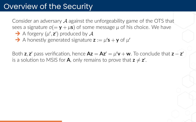Consider an adversary *A* against the unforgeability game of the OTS that sees a signature  $σ(= y + μs)$  of some message  $μ$  of his choice. We have

- $\rightarrow$  A forgery  $(\mu', \mathbf{z}')$  produced by  $\mathcal{A}$
- $\rightarrow$  A honestly generated signature  $z := \mu' s + y$  of  $\mu'$

Both **z**, **z**' pass verification, hence  $\mathsf{Az} = \mathsf{Az'} = \mu' \mathsf{v} + \mathsf{w}$ . To conclude that  $\mathsf{z} - \mathsf{z'}$ is a solution to MSIS for **A**, only remains to prove that  $\mathsf{z} \neq \mathsf{z}'.$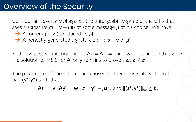Consider an adversary *A* against the unforgeability game of the OTS that sees a signature  $σ(= y + μs)$  of some message  $μ$  of his choice. We have

- $\rightarrow$  A forgery  $(\mu', \mathbf{z}')$  produced by  $\mathcal{A}$
- $\rightarrow$  A honestly generated signature  $z := \mu' s + y$  of  $\mu'$

Both **z**, **z**' pass verification, hence  $\mathsf{Az} = \mathsf{Az'} = \mu' \mathsf{v} + \mathsf{w}$ . To conclude that  $\mathsf{z} - \mathsf{z'}$ is a solution to MSIS for **A**, only remains to prove that  $\mathsf{z} \neq \mathsf{z}'.$ 

The parameters of the scheme are chosen so there exists at least another pair (**s** *∗ ,* **y** *∗* ) such that

$$
\mathsf{As}^* = \mathsf{v}, \ \mathsf{Ay}^* = \mathsf{w}, \ \sigma = \mathsf{y}^* + \mu \mathsf{s}^*, \ \text{and} \ \|(\mathsf{s}^*, \mathsf{y}^*)\|_{\infty} \leq b.
$$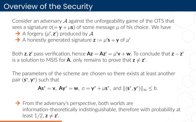Consider an adversary *A* against the unforgeability game of the OTS that sees a signature  $σ(= y + μs)$  of some message  $μ$  of his choice. We have

- $\rightarrow$  A forgery  $(\mu', \mathbf{z}')$  produced by  $\mathcal{A}$
- $\rightarrow$  A honestly generated signature  $z := \mu' s + y$  of  $\mu'$

Both **z**, **z**' pass verification, hence  $\mathsf{Az} = \mathsf{Az'} = \mu' \mathsf{v} + \mathsf{w}$ . To conclude that  $\mathsf{z} - \mathsf{z'}$ is a solution to MSIS for **A**, only remains to prove that  $\mathsf{z} \neq \mathsf{z}'.$ 

The parameters of the scheme are chosen so there exists at least another pair (**s** *∗ ,* **y** *∗* ) such that

$$
As^* = v, \ Ay^* = w, \ \sigma = y^* + \mu s^*, \ \text{and } \|(s^*, y^*)\|_{\infty} \leq b.
$$

 $\rightarrow$  From the adversary's perspective, both worlds are information-theoretically indistinguishable, therefore with probability at least  $1/2$ ,  $z \neq z'$ .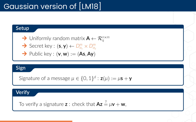# Gaussian version of [\[LM18\]](#page-46-0)

#### **Setup**

$$
\blacktriangleright
$$
 Uniformly random matrix  $\mathbf{A} \leftarrow \mathcal{R}_q^{n \times m}$ 

$$
\blacktriangleright \text{ Secret key}: (\mathbf{s}, \mathbf{y}) \leftarrow D^m_{\sigma_{\mathsf{s}}} \times D^m_{\sigma_{\mathsf{y}}}
$$

$$
\rightarrow
$$
 Public key :  $(v, w) := (As, Ay)$ 

#### **Sign**

```
Signature of a message \mu \in \{0, 1\}^d : \mathbf{z}(\mu) := \mu \mathbf{s} + \mathbf{y}
```
#### **Verify**

To verify a signature **z** : check that  $Az \stackrel{?}{=} \mu v + w$ ,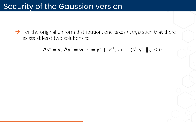### Security of the Gaussian version

 $\rightarrow$  For the original uniform distribution, one takes  $n, m, b$  such that there exists at least two solutions to

$$
As^* = v, \ Ay^* = w, \ \sigma = y^* + \mu s^*, \ \text{and } \|(s^*, y^*)\|_{\infty} \leq b.
$$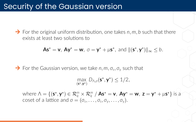#### Security of the Gaussian version

 $\rightarrow$  For the original uniform distribution, one takes *n*, *m*, *b* such that there exists at least two solutions to

$$
As^* = v, \ Ay^* = w, \ \sigma = y^* + \mu s^*, \ \text{and } \|(s^*, y^*)\|_{\infty} \leq b.
$$

 $\rightarrow$  For the Gaussian version, we take  $n, m, \sigma_s, \sigma_\gamma$  such that

$$
\max_{(\mathbf{s}^*, \mathbf{y}^*)} D_{\Lambda, \sigma}(\mathbf{s}^*, \mathbf{y}^*) \le 1/2,
$$

where  $\wedge = \{(\mathsf{s}^*, \mathsf{y}^*) \in \mathcal{R}_q^m \times \mathcal{R}_q^m / \mathsf{As}^* = \mathsf{v}, \mathsf{Ay}^* = \mathsf{w}, \mathsf{z} = \mathsf{y}^* + \mu \mathsf{s}^*\}$  is a  $\cos$  *c c s* a lattice and  $\sigma = (\sigma_s, \ldots, \sigma_s, \sigma_v, \ldots, \sigma_v)$ .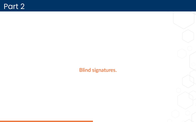**Blind signatures.**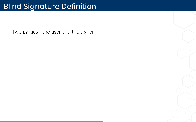# Blind Signature Definition

Two parties : the user and the signer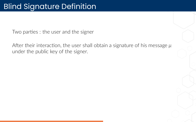Two parties : the user and the signer

After their interaction, the user shall obtain a signature of his message *μ* under the public key of the signer.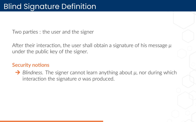Two parties : the user and the signer

After their interaction, the user shall obtain a signature of his message *μ* under the public key of the signer.

#### **Security notions**

 $\rightarrow$  *Blindness.* The signer cannot learn anything about *μ*, nor during which interaction the signature *σ* was produced.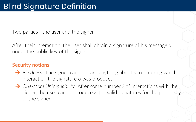Two parties : the user and the signer

After their interaction, the user shall obtain a signature of his message *μ* under the public key of the signer.

#### **Security notions**

- $\rightarrow$  *Blindness.* The signer cannot learn anything about *μ*, nor during which interaction the signature *σ* was produced.
- → *One-More Unforgeability.* After some number  $\ell$  of interactions with the signer, the user cannot produce  $\ell + 1$  valid signatures for the public key of the signer.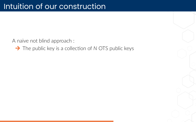**→** The public key is a collection of *N* OTS public keys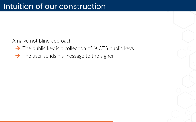- **→** The public key is a collection of *N* OTS public keys
- $\rightarrow$  The user sends his message to the signer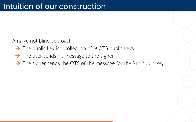- **→** The public key is a collection of *N* OTS public keys
- $\rightarrow$  The user sends his message to the signer
- → The signer sends the OTS of the message for the *i*-th public key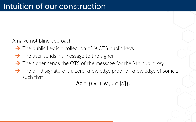- **→** The public key is a collection of *N* OTS public keys
- $\rightarrow$  The user sends his message to the signer
- → The signer sends the OTS of the message for the *i*-th public key
- → The blind signature is a zero-knowledge proof of knowledge of some **z** such that

 $\mathsf{Az} \in \{\mu \mathsf{v}_i + \mathsf{w}_i, i \in [N]\}.$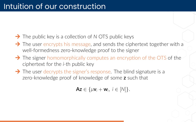- **→** The public key is a collection of *N* OTS public keys
- $\rightarrow$  The user encrypts his message, and sends the ciphertext together with a well-formedness zero-knowledge proof to the signer
- $\rightarrow$  The signer homomorphically computes an encryption of the OTS of the ciphertext for the *i*‐th public key
- $\rightarrow$  The user decrypts the signer's response. The blind signature is a zero‐knowledge proof of knowledge of some **z** such that

 $\mathsf{Az} \in \{\mu \mathsf{v}_i + \mathsf{w}_i, i \in [N]\}.$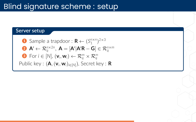## Blind signature scheme : setup

#### **Server setup**

\n- **1** Sample a trapdoor: 
$$
\mathbf{R} \leftarrow (S_1^{n \times n})^{2 \times 3}
$$
\n- **2**  $\mathbf{A}' \leftarrow \mathcal{R}_q^{n \times 2n}$ ,  $\mathbf{A} = [\mathbf{A}' | \mathbf{A}'\mathbf{R} - \mathbf{G}] \in \mathcal{R}_q^{n \times m}$
\n- **3** For  $i \in [N]$ ,  $(\mathbf{v}_i, \mathbf{w}_i) \leftarrow \mathcal{R}_q^m \times \mathcal{R}_q^m$
\n- Public key:  $(\mathbf{A}, (\mathbf{v}_i, \mathbf{w}_i)_{i \in [N]})$ , Secret key:  $\mathbf{R}$
\n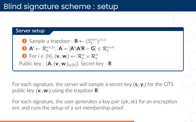### Blind signature scheme : setup

#### **Server setup**

\n- **6** Sample a trapdoor: 
$$
\mathbf{R} \leftarrow (S_1^{n \times n})^{2 \times 3}
$$
\n- **8**  $\mathbf{A}' \leftarrow \mathcal{R}_q^{n \times 2n}$ ,  $\mathbf{A} = [\mathbf{A}' | \mathbf{A}'\mathbf{R} - \mathbf{G}] \in \mathcal{R}_q^{n \times m}$
\n- **8** For  $i \in [N]$ ,  $(\mathbf{v}_i, \mathbf{w}_i) \leftarrow \mathcal{R}_q^m \times \mathcal{R}_q^m$
\n- Public key:  $(\mathbf{A}, (\mathbf{v}_i, \mathbf{w}_i)_{i \in [N]})$ , Secret key:  $\mathbf{R}$
\n

For each signature, the server will sample a secret key  $(\mathsf{s}_i, \mathsf{y}_i)$  for the OTS public key (**v***<sup>i</sup> ,* **w***i*) using the trapdoor **R**

For each signature, the user generates a key pair (pk*,* sk) for an encryption enc and runs the setup of a set membership proof.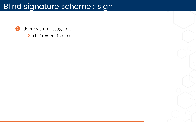<sup>1</sup> User with message *μ* :  $\blacktriangleright$   $(\mathbf{t}, t') = \text{enc}(pk, \mu)$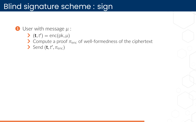#### <sup>1</sup> User with message *μ* :

- $\blacktriangleright$   $(\mathbf{t}, t') = \text{enc}(pk, \mu)$
- ¨ Compute a proof *π*enc of well‐formedness of the ciphertext
- $\sum$  Send  $(\mathbf{t}, t', \pi_{\text{enc}})$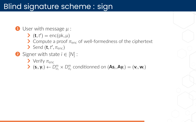#### <sup>1</sup> User with message *μ* :

- $\blacktriangleright$   $(\mathbf{t}, t') = \text{enc}(pk, \mu)$
- $\sum$  Compute a proof  $\pi_{enc}$  of well-formedness of the ciphertext
- $\sum$  Send  $(\mathbf{t}, t', \pi_{\text{enc}})$
- <sup>2</sup> Signer with state *i ∈* [*N*] :
	- $\sum$  Verify  $\pi_{\text{enc}}$
	- $\blacktriangleright$   $(\mathsf{s}_i, \mathsf{y}_i) \leftarrow D^m_{\sigma_{\mathsf{s}}} \times D^m_{\sigma_{\mathsf{y}}}$  conditionned on  $(\mathsf{As}_i, \mathsf{Ay}_i) = (\mathsf{v}_i, \mathsf{w}_i)$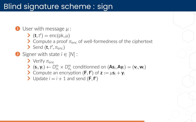#### <sup>1</sup> User with message *μ* :

 $\blacktriangleright$   $(\mathbf{t}, t') = \text{enc}(pk, \mu)$ 

#### $\sum$  Compute a proof  $\pi_{\text{enc}}$  of well-formedness of the ciphertext

 $\sum$  Send  $(\mathbf{t}, t', \pi_{\text{enc}})$ 

#### <sup>2</sup> Signer with state *i ∈* [*N*] :

- $\sum$  Verify  $\pi_{\text{enc}}$
- $\blacktriangleright$   $(\mathsf{s}_i, \mathsf{y}_i) \leftarrow D^m_{\sigma_{\mathsf{s}}} \times D^m_{\sigma_{\mathsf{y}}}$  conditionned on  $(\mathsf{As}_i, \mathsf{Ay}_i) = (\mathsf{v}_i, \mathsf{w}_i)$
- $\triangleright$  Compute an encryption (**F***,***f**<sup> $\cdot$ </sup>) of **z** :=  $\mu$ **s**<sub>*i*</sub> + **y**<sub>*i*</sub>
- $\blacktriangleright$  Update  $i = i + 1$  and send  $(F, f')$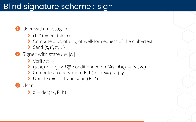#### <sup>1</sup> User with message *μ* :

 $\blacktriangleright$   $(\mathbf{t}, t') = \text{enc}(pk, \mu)$ 

- $\sum$  Compute a proof  $\pi_{\text{enc}}$  of well-formedness of the ciphertext
- $\sum$  Send  $(\mathbf{t}, t', \pi_{\text{enc}})$
- <sup>2</sup> Signer with state *i ∈* [*N*] :
	- $\sum$  Verify  $\pi_{\text{enc}}$
	- $\blacktriangleright$   $(\mathsf{s}_i, \mathsf{y}_i) \leftarrow D^m_{\sigma_{\mathsf{s}}} \times D^m_{\sigma_{\mathsf{y}}}$  conditionned on  $(\mathsf{As}_i, \mathsf{Ay}_i) = (\mathsf{v}_i, \mathsf{w}_i)$
	- $\triangleright$  Compute an encryption (**F***,***f**<sup> $\cdot$ </sup>) of **z** :=  $\mu$ **s**<sub>*i*</sub> + **y**<sub>*i*</sub>
	- $\blacktriangleright$  Update  $i = i + 1$  and send  $(F, f')$

User :

$$
\blacktriangleright z = \text{dec}(\text{sk}, F, f')
$$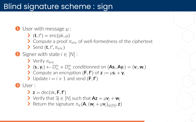#### <sup>1</sup> User with message *μ* :

 $\blacktriangleright$   $(\mathbf{t}, t') = \text{enc}(pk, \mu)$ 

#### $\sum$  Compute a proof  $\pi_{\text{enc}}$  of well-formedness of the ciphertext

 $\sum$  Send  $(\mathbf{t}, t', \pi_{\text{enc}})$ 

#### <sup>2</sup> Signer with state *i ∈* [*N*] :

- $\sum$  Verify  $\pi_{\text{enc}}$
- $\blacktriangleright$   $(\mathsf{s}_i, \mathsf{y}_i) \leftarrow D^m_{\sigma_{\mathsf{s}}} \times D^m_{\sigma_{\mathsf{y}}}$  conditionned on  $(\mathsf{As}_i, \mathsf{Ay}_i) = (\mathsf{v}_i, \mathsf{w}_i)$
- $\triangleright$  Compute an encryption (**F***,***f**<sup> $\cdot$ </sup>) of **z** :=  $\mu$ **s**<sub>*i*</sub> + **y**<sub>*i*</sub>
- $\blacktriangleright$  Update  $i = i + 1$  and send  $(F, f')$

<sup>3</sup> User :

 $\blacktriangleright$  **z** = dec(sk, **F**, **f**<sup> $\blacktriangle$ </sup>)

- $\triangleright$  Verify that  $\exists j \in [N]$  such that  $\mathbf{Az} = \mu \mathbf{v}_j + \mathbf{w}_j$
- $\triangleright$  Return the signature  $\pi$ <sub>∈</sub>(**A**, (**w**<sub>*j*</sub> +  $\mu$ **v**<sub>*j*</sub>)<sub>*j*∈[*N*]</sub>, **z**)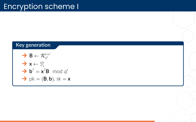#### **Key generation**

$$
\begin{array}{l}\n\rightarrow \mathbf{B} \leftarrow \mathcal{R}_{q'}^{k \times l} \\
\rightarrow \mathbf{x} \leftarrow S_{\gamma}^{k} \\
\rightarrow \mathbf{b}^{T} = \mathbf{x}^{T} \mathbf{B} \mod q' \\
\rightarrow \mathbf{p}k = (\mathbf{B}, \mathbf{b}), \, \text{sk} = \mathbf{x}\n\end{array}
$$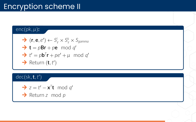## Encryption scheme II

#### enc(pk*, μ*)**:**

\n- $$
\blacktriangleright
$$
  $(\mathbf{r}, \mathbf{e}, e') \leftarrow S_{\gamma}^{l} \times S_{\gamma}^{k} \times S_{gamma}$
\n- $\blacktriangleright$  **t** = p**Br** + p**e** mod q'
\n- $\blacktriangleright$  **t'** = p**b**<sup>T</sup>**r** + p e' + \mu mod q'
\n- $\blacktriangleright$  Return  $(\mathbf{t}, t')$
\n

dec(sk*,***t***,t ′* )

$$
\blacktriangleright z = t' - \mathbf{x}^T \mathbf{t} \mod q'
$$

**→** Return *z* mod *p*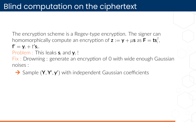Problem : This leaks **s***<sup>i</sup>* and **y***<sup>i</sup>* !

Fix : Drowning : generate an encryption of 0 with wide enough Gaussian noises :

→ Sample (Y, Y', y') with independent Gaussian coefficients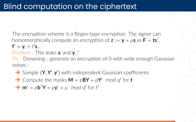Problem : This leaks **s***<sup>i</sup>* and **y***<sup>i</sup>* !

Fix : Drowning : generate an encryption of 0 with wide enough Gaussian noises :

→ Sample (Y, Y', y') with independent Gaussian coefficients

 $\rightarrow$  Compute the masks  $M = pBY + pY' \mod q'$  for **t** 

$$
\Rightarrow m' = pb^T Y + p y' + \mu \mod q' \text{ for } t'
$$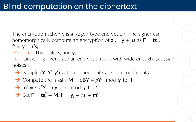Problem : This leaks **s***<sup>i</sup>* and **y***<sup>i</sup>* !

Fix : Drowning : generate an encryption of 0 with wide enough Gaussian noises :

→ Sample (Y, Y', y') with independent Gaussian coefficients

 $\rightarrow$  Compute the masks  $M = pBY + pY' \mod q'$  for **t** 

$$
\rightarrow \mathbf{m}' = p\mathbf{b}^T \mathbf{Y} + p\mathbf{y}' + \mu \mod q' \text{ for } t'
$$

$$
\Rightarrow \text{Set } \mathbf{F} = \mathbf{ts}_i^T + \mathbf{M}, \mathbf{f}' = \mathbf{y}_i + t' \mathbf{s}_i + \mathbf{m}'
$$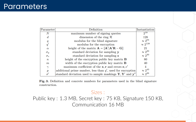#### **Parameters**

| Parameter        | Definition                                                                           | Instantiation     |
|------------------|--------------------------------------------------------------------------------------|-------------------|
| $\boldsymbol{N}$ | maximum number of signing queries                                                    | $2^{18}$          |
| d.               | dimension of the ring $\mathcal{R}$                                                  | 128               |
| q                | modulus for the blind signature                                                      | $\approx 2^{64}$  |
| q                | modulus for the encryption                                                           | $\approx 2^{128}$ |
| $\alpha$         | height of the matrix $\mathbf{A} = [\mathbf{A}' \mathbf{A}'\mathbf{R} - \mathbf{G}]$ | 21                |
| $\sigma_{u}$     | standard deviation for sampling y                                                    | $\approx 2^{30}$  |
| $\sigma_s$       | standard deviation for sampling s                                                    | $\approx 2^{30}$  |
| $\boldsymbol{n}$ | height of the encryption public key matrix $\bf{B}$                                  | 80                |
| $\boldsymbol{m}$ | width of the encryption public key matrix $\bf{B}$                                   | 40                |
| $\gamma$         | maximum coefficient of the $x, r$ and errors $e, e'$                                 | 4                 |
| $\boldsymbol{p}$ | additional prime number, less than $q'$ , used for encryption                        | $\approx 2^{43}$  |
|                  | standard deviation used to sample maskings $Y, Y'$ and $y''$                         | $\approx 2^{26}$  |

Fig. 3. Definition and concrete numbers for parameters used in the blind signature construction.

#### Sizes :

Public key : 1*.*3 MB, Secret key : 75 KB, Signature 150 KB, Communication 16 MB